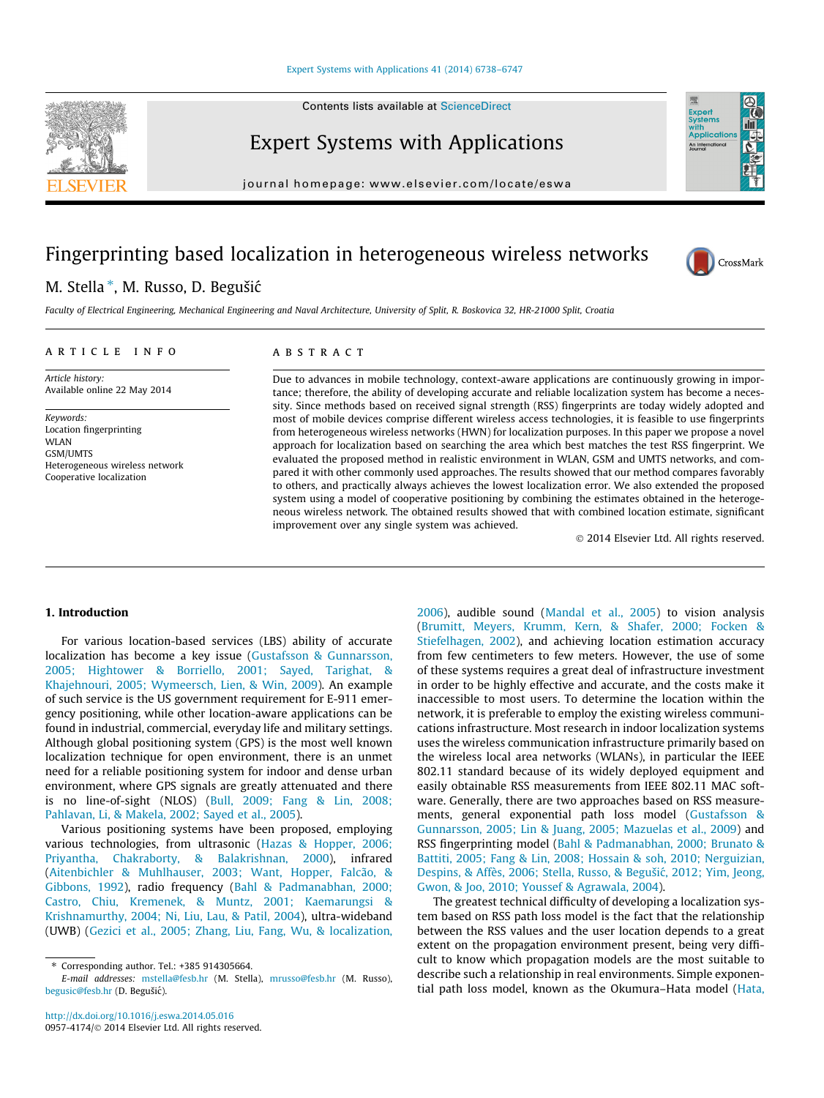Contents lists available at [ScienceDirect](http://www.sciencedirect.com/science/journal/09574174)

Expert Systems with Applications

journal homepage: [www.elsevier.com/locate/eswa](http://www.elsevier.com/locate/eswa)

## Fingerprinting based localization in heterogeneous wireless networks

### M. Stella \*, M. Russo, D. Begušić

Faculty of Electrical Engineering, Mechanical Engineering and Naval Architecture, University of Split, R. Boskovica 32, HR-21000 Split, Croatia

#### article info

Article history: Available online 22 May 2014

Keywords: Location fingerprinting **WI AN** GSM/UMTS Heterogeneous wireless network Cooperative localization

#### ABSTRACT

Due to advances in mobile technology, context-aware applications are continuously growing in importance; therefore, the ability of developing accurate and reliable localization system has become a necessity. Since methods based on received signal strength (RSS) fingerprints are today widely adopted and most of mobile devices comprise different wireless access technologies, it is feasible to use fingerprints from heterogeneous wireless networks (HWN) for localization purposes. In this paper we propose a novel approach for localization based on searching the area which best matches the test RSS fingerprint. We evaluated the proposed method in realistic environment in WLAN, GSM and UMTS networks, and compared it with other commonly used approaches. The results showed that our method compares favorably to others, and practically always achieves the lowest localization error. We also extended the proposed system using a model of cooperative positioning by combining the estimates obtained in the heterogeneous wireless network. The obtained results showed that with combined location estimate, significant improvement over any single system was achieved.

- 2014 Elsevier Ltd. All rights reserved.

#### 1. Introduction

For various location-based services (LBS) ability of accurate localization has become a key issue ([Gustafsson & Gunnarsson,](#page--1-0) [2005; Hightower & Borriello, 2001; Sayed, Tarighat, &](#page--1-0) [Khajehnouri, 2005; Wymeersch, Lien, & Win, 2009\)](#page--1-0). An example of such service is the US government requirement for E-911 emergency positioning, while other location-aware applications can be found in industrial, commercial, everyday life and military settings. Although global positioning system (GPS) is the most well known localization technique for open environment, there is an unmet need for a reliable positioning system for indoor and dense urban environment, where GPS signals are greatly attenuated and there is no line-of-sight (NLOS) [\(Bull, 2009; Fang & Lin, 2008;](#page--1-0) [Pahlavan, Li, & Makela, 2002; Sayed et al., 2005\)](#page--1-0).

Various positioning systems have been proposed, employing various technologies, from ultrasonic ([Hazas & Hopper, 2006;](#page--1-0) [Priyantha, Chakraborty, & Balakrishnan, 2000\)](#page--1-0), infrared ([Aitenbichler & Muhlhauser, 2003; Want, Hopper, Falcão, &](#page--1-0) [Gibbons, 1992\)](#page--1-0), radio frequency [\(Bahl & Padmanabhan, 2000;](#page--1-0) [Castro, Chiu, Kremenek, & Muntz, 2001; Kaemarungsi &](#page--1-0) [Krishnamurthy, 2004; Ni, Liu, Lau, & Patil, 2004](#page--1-0)), ultra-wideband (UWB) ([Gezici et al., 2005; Zhang, Liu, Fang, Wu, & localization,](#page--1-0) [2006\)](#page--1-0), audible sound [\(Mandal et al., 2005](#page--1-0)) to vision analysis ([Brumitt, Meyers, Krumm, Kern, & Shafer, 2000; Focken &](#page--1-0) [Stiefelhagen, 2002\)](#page--1-0), and achieving location estimation accuracy from few centimeters to few meters. However, the use of some of these systems requires a great deal of infrastructure investment in order to be highly effective and accurate, and the costs make it inaccessible to most users. To determine the location within the network, it is preferable to employ the existing wireless communications infrastructure. Most research in indoor localization systems uses the wireless communication infrastructure primarily based on the wireless local area networks (WLANs), in particular the IEEE 802.11 standard because of its widely deployed equipment and easily obtainable RSS measurements from IEEE 802.11 MAC software. Generally, there are two approaches based on RSS measurements, general exponential path loss model ([Gustafsson &](#page--1-0) [Gunnarsson, 2005; Lin & Juang, 2005; Mazuelas et al., 2009\)](#page--1-0) and RSS fingerprinting model [\(Bahl & Padmanabhan, 2000; Brunato &](#page--1-0) [Battiti, 2005; Fang & Lin, 2008; Hossain & soh, 2010; Nerguizian,](#page--1-0) Despins, & Affès, 2006; Stella, Russo, & Begušić, 2012; Yim, Jeong, [Gwon, & Joo, 2010; Youssef & Agrawala, 2004](#page--1-0)).

The greatest technical difficulty of developing a localization system based on RSS path loss model is the fact that the relationship between the RSS values and the user location depends to a great extent on the propagation environment present, being very difficult to know which propagation models are the most suitable to describe such a relationship in real environments. Simple exponential path loss model, known as the Okumura–Hata model [\(Hata,](#page--1-0)





Expert<br>Systems with<br>Application An Internati

<sup>⇑</sup> Corresponding author. Tel.: +385 914305664.

E-mail addresses: [mstella@fesb.hr](mailto:mstella@fesb.hr) (M. Stella), [mrusso@fesb.hr](mailto:mrusso@fesb.hr) (M. Russo), [begusic@fesb.hr](mailto:begusic@fesb.hr) (D. Begušić).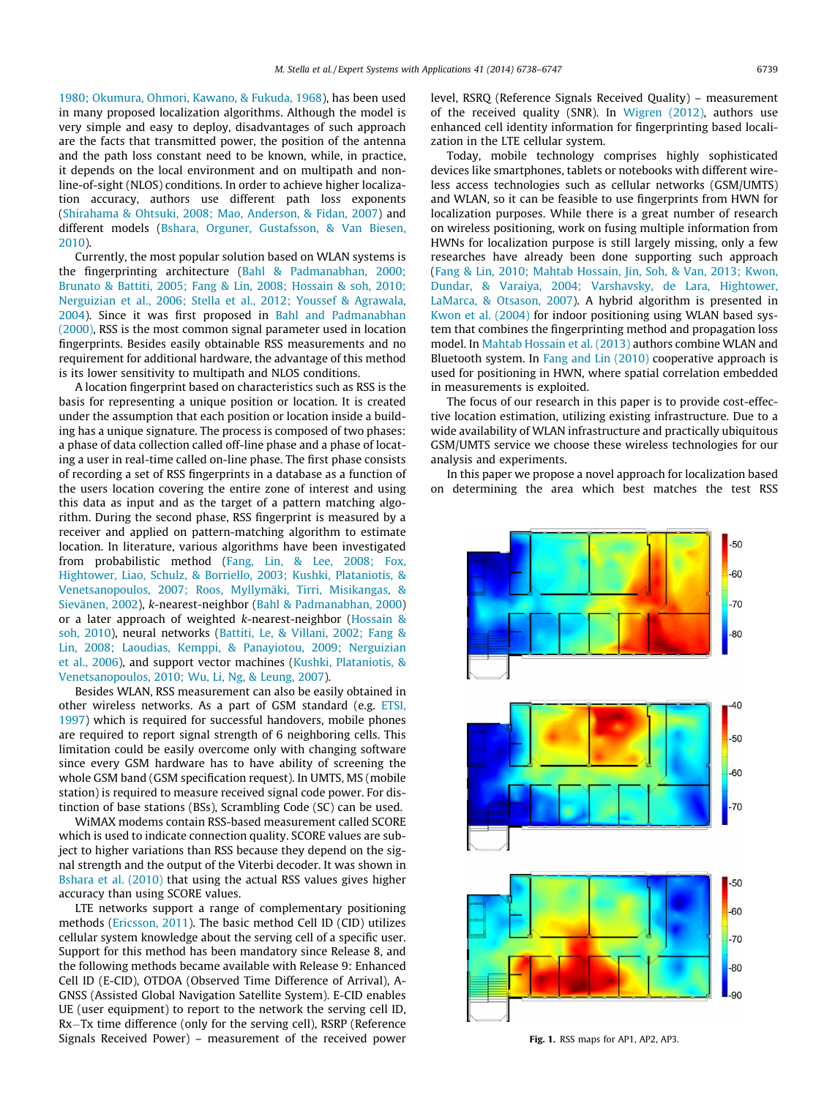[1980; Okumura, Ohmori, Kawano, & Fukuda, 1968\)](#page--1-0), has been used in many proposed localization algorithms. Although the model is very simple and easy to deploy, disadvantages of such approach are the facts that transmitted power, the position of the antenna and the path loss constant need to be known, while, in practice, it depends on the local environment and on multipath and nonline-of-sight (NLOS) conditions. In order to achieve higher localization accuracy, authors use different path loss exponents ([Shirahama & Ohtsuki, 2008; Mao, Anderson, & Fidan, 2007](#page--1-0)) and different models [\(Bshara, Orguner, Gustafsson, & Van Biesen,](#page--1-0) [2010](#page--1-0)).

Currently, the most popular solution based on WLAN systems is the fingerprinting architecture [\(Bahl & Padmanabhan, 2000;](#page--1-0) [Brunato & Battiti, 2005; Fang & Lin, 2008; Hossain & soh, 2010;](#page--1-0) [Nerguizian et al., 2006; Stella et al., 2012; Youssef & Agrawala,](#page--1-0) [2004](#page--1-0)). Since it was first proposed in [Bahl and Padmanabhan](#page--1-0) [\(2000\)](#page--1-0), RSS is the most common signal parameter used in location fingerprints. Besides easily obtainable RSS measurements and no requirement for additional hardware, the advantage of this method is its lower sensitivity to multipath and NLOS conditions.

A location fingerprint based on characteristics such as RSS is the basis for representing a unique position or location. It is created under the assumption that each position or location inside a building has a unique signature. The process is composed of two phases: a phase of data collection called off-line phase and a phase of locating a user in real-time called on-line phase. The first phase consists of recording a set of RSS fingerprints in a database as a function of the users location covering the entire zone of interest and using this data as input and as the target of a pattern matching algorithm. During the second phase, RSS fingerprint is measured by a receiver and applied on pattern-matching algorithm to estimate location. In literature, various algorithms have been investigated from probabilistic method ([Fang, Lin, & Lee, 2008; Fox,](#page--1-0) [Hightower, Liao, Schulz, & Borriello, 2003; Kushki, Plataniotis, &](#page--1-0) [Venetsanopoulos, 2007; Roos, Myllymäki, Tirri, Misikangas, &](#page--1-0) [Sievänen, 2002\)](#page--1-0), k-nearest-neighbor ([Bahl & Padmanabhan, 2000\)](#page--1-0) or a later approach of weighted k-nearest-neighbor [\(Hossain &](#page--1-0) [soh, 2010](#page--1-0)), neural networks ([Battiti, Le, & Villani, 2002; Fang &](#page--1-0) [Lin, 2008; Laoudias, Kemppi, & Panayiotou, 2009; Nerguizian](#page--1-0) [et al., 2006\)](#page--1-0), and support vector machines [\(Kushki, Plataniotis, &](#page--1-0) [Venetsanopoulos, 2010; Wu, Li, Ng, & Leung, 2007](#page--1-0)).

Besides WLAN, RSS measurement can also be easily obtained in other wireless networks. As a part of GSM standard (e.g. [ETSI,](#page--1-0) [1997\)](#page--1-0) which is required for successful handovers, mobile phones are required to report signal strength of 6 neighboring cells. This limitation could be easily overcome only with changing software since every GSM hardware has to have ability of screening the whole GSM band (GSM specification request). In UMTS, MS (mobile station) is required to measure received signal code power. For distinction of base stations (BSs), Scrambling Code (SC) can be used.

WiMAX modems contain RSS-based measurement called SCORE which is used to indicate connection quality. SCORE values are subject to higher variations than RSS because they depend on the signal strength and the output of the Viterbi decoder. It was shown in [Bshara et al. \(2010\)](#page--1-0) that using the actual RSS values gives higher accuracy than using SCORE values.

LTE networks support a range of complementary positioning methods [\(Ericsson, 2011](#page--1-0)). The basic method Cell ID (CID) utilizes cellular system knowledge about the serving cell of a specific user. Support for this method has been mandatory since Release 8, and the following methods became available with Release 9: Enhanced Cell ID (E-CID), OTDOA (Observed Time Difference of Arrival), A-GNSS (Assisted Global Navigation Satellite System). E-CID enables UE (user equipment) to report to the network the serving cell ID, Rx-Tx time difference (only for the serving cell), RSRP (Reference Signals Received Power) – measurement of the received power level, RSRQ (Reference Signals Received Quality) – measurement of the received quality (SNR). In [Wigren \(2012\),](#page--1-0) authors use enhanced cell identity information for fingerprinting based localization in the LTE cellular system.

Today, mobile technology comprises highly sophisticated devices like smartphones, tablets or notebooks with different wireless access technologies such as cellular networks (GSM/UMTS) and WLAN, so it can be feasible to use fingerprints from HWN for localization purposes. While there is a great number of research on wireless positioning, work on fusing multiple information from HWNs for localization purpose is still largely missing, only a few researches have already been done supporting such approach ([Fang & Lin, 2010; Mahtab Hossain, Jin, Soh, & Van, 2013; Kwon,](#page--1-0) [Dundar, & Varaiya, 2004; Varshavsky, de Lara, Hightower,](#page--1-0) [LaMarca, & Otsason, 2007](#page--1-0)). A hybrid algorithm is presented in [Kwon et al. \(2004\)](#page--1-0) for indoor positioning using WLAN based system that combines the fingerprinting method and propagation loss model. In [Mahtab Hossain et al. \(2013\)](#page--1-0) authors combine WLAN and Bluetooth system. In [Fang and Lin \(2010\)](#page--1-0) cooperative approach is used for positioning in HWN, where spatial correlation embedded in measurements is exploited.

The focus of our research in this paper is to provide cost-effective location estimation, utilizing existing infrastructure. Due to a wide availability of WLAN infrastructure and practically ubiquitous GSM/UMTS service we choose these wireless technologies for our analysis and experiments.

In this paper we propose a novel approach for localization based on determining the area which best matches the test RSS



Fig. 1. RSS maps for AP1, AP2, AP3.